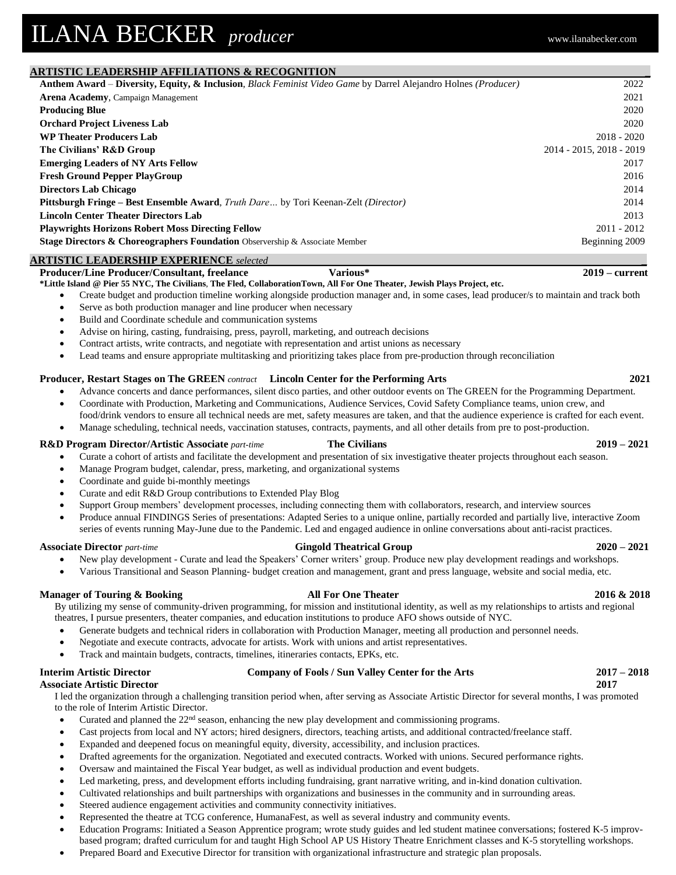# **ARTISTIC LEADERSHIP AFFILIATIONS & RECOGNITION \_**

| <u>Mindelle Besterdam in Fiberious will contribut</u>                                                          |                          |
|----------------------------------------------------------------------------------------------------------------|--------------------------|
| Anthem Award - Diversity, Equity, & Inclusion, Black Feminist Video Game by Darrel Alejandro Holnes (Producer) | 2022                     |
| <b>Arena Academy, Campaign Management</b>                                                                      | 2021                     |
| <b>Producing Blue</b>                                                                                          | 2020                     |
| <b>Orchard Project Liveness Lab</b>                                                                            | 2020                     |
| <b>WP Theater Producers Lab</b>                                                                                | $2018 - 2020$            |
| The Civilians' R&D Group                                                                                       | 2014 - 2015, 2018 - 2019 |
| <b>Emerging Leaders of NY Arts Fellow</b>                                                                      | 2017                     |
| <b>Fresh Ground Pepper PlayGroup</b>                                                                           | 2016                     |
| <b>Directors Lab Chicago</b>                                                                                   | 2014                     |
| <b>Pittsburgh Fringe – Best Ensemble Award, Truth Dare by Tori Keenan-Zelt (Director)</b>                      | 2014                     |
| <b>Lincoln Center Theater Directors Lab</b>                                                                    | 2013                     |
| <b>Playwrights Horizons Robert Moss Directing Fellow</b>                                                       | $2011 - 2012$            |
| <b>Stage Directors &amp; Choreographers Foundation</b> Observership & Associate Member                         | Beginning 2009           |
| A DTICTIC LEADEDCHID EVREDIEMCE $\rightarrow$                                                                  |                          |

ı

# **ARTISTIC LEADERSHIP EXPERIENCE** *selected* **\_**

# **Producer/Line Producer/Consultant, freelance \*Little Island @ Pier 55 NYC, The Civilians**, **The Fled, CollaborationTown, All For One Theater, Jewish Plays Project, etc.**

- Create budget and production timeline working alongside production manager and, in some cases, lead producer/s to maintain and track both
- Serve as both production manager and line producer when necessary
- Build and Coordinate schedule and communication systems
- Advise on hiring, casting, fundraising, press, payroll, marketing, and outreach decisions
- Contract artists, write contracts, and negotiate with representation and artist unions as necessary
- Lead teams and ensure appropriate multitasking and prioritizing takes place from pre-production through reconciliation

# **Producer, Restart Stages on The GREEN** *contract* **Lincoln Center for the Performing Arts 2021**

- Advance concerts and dance performances, silent disco parties, and other outdoor events on The GREEN for the Programming Department.
- Coordinate with Production, Marketing and Communications, Audience Services, Covid Safety Compliance teams, union crew, and food/drink vendors to ensure all technical needs are met, safety measures are taken, and that the audience experience is crafted for each event.
- Manage scheduling, technical needs, vaccination statuses, contracts, payments, and all other details from pre to post-production.

# **R&D Program Director/Artistic Associate** *part-time* **The Civilians 2019 – 2021**

- Curate a cohort of artists and facilitate the development and presentation of six investigative theater projects throughout each season.
- Manage Program budget, calendar, press, marketing, and organizational systems
- Coordinate and guide bi-monthly meetings
- Curate and edit R&D Group contributions to Extended Play Blog
- Support Group members' development processes, including connecting them with collaborators, research, and interview sources
- Produce annual FINDINGS Series of presentations: Adapted Series to a unique online, partially recorded and partially live, interactive Zoom series of events running May-June due to the Pandemic. Led and engaged audience in online conversations about anti-racist practices.

## **Associate Director** *part-time* **Gingold Theatrical Group 2020 – 2021**

- New play development Curate and lead the Speakers' Corner writers' group. Produce new play development readings and workshops.
- Various Transitional and Season Planning- budget creation and management, grant and press language, website and social media, etc.

# **Manager of Touring & Booking All For One Theater 2016 & 2018** 2016 **2018** 2018

By utilizing my sense of community-driven programming, for mission and institutional identity, as well as my relationships to artists and regional theatres, I pursue presenters, theater companies, and education institutions to produce AFO shows outside of NYC.

- Generate budgets and technical riders in collaboration with Production Manager, meeting all production and personnel needs.
- Negotiate and execute contracts, advocate for artists. Work with unions and artist representatives.
- Track and maintain budgets, contracts, timelines, itineraries contacts, EPKs, etc.

# **Interim Artistic Director Company of Fools / Sun Valley Center for the Arts 2017 – 2018**

# **Associate Artistic Director 2017**

I led the organization through a challenging transition period when, after serving as Associate Artistic Director for several months, I was promoted to the role of Interim Artistic Director.

- Curated and planned the  $22<sup>nd</sup>$  season, enhancing the new play development and commissioning programs.
- Cast projects from local and NY actors; hired designers, directors, teaching artists, and additional contracted/freelance staff.
- Expanded and deepened focus on meaningful equity, diversity, accessibility, and inclusion practices.
- Drafted agreements for the organization. Negotiated and executed contracts. Worked with unions. Secured performance rights.
- Oversaw and maintained the Fiscal Year budget, as well as individual production and event budgets.
- Led marketing, press, and development efforts including fundraising, grant narrative writing, and in-kind donation cultivation.
- Cultivated relationships and built partnerships with organizations and businesses in the community and in surrounding areas.
- Steered audience engagement activities and community connectivity initiatives.
- Represented the theatre at TCG conference, HumanaFest, as well as several industry and community events.
- Education Programs: Initiated a Season Apprentice program; wrote study guides and led student matinee conversations; fostered K-5 improvbased program; drafted curriculum for and taught High School AP US History Theatre Enrichment classes and K-5 storytelling workshops.
- Prepared Board and Executive Director for transition with organizational infrastructure and strategic plan proposals.